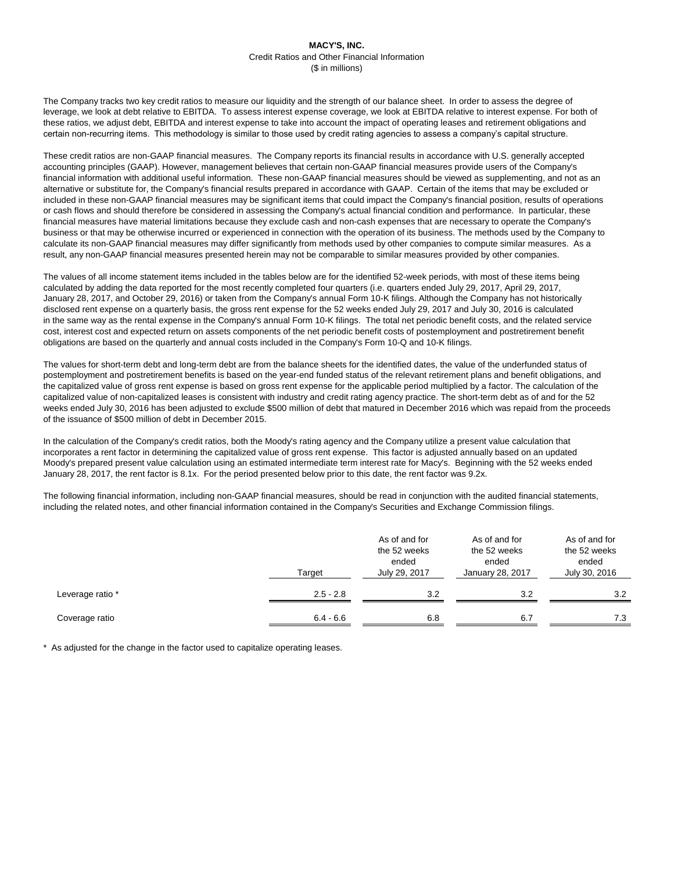The Company tracks two key credit ratios to measure our liquidity and the strength of our balance sheet. In order to assess the degree of leverage, we look at debt relative to EBITDA. To assess interest expense coverage, we look at EBITDA relative to interest expense. For both of these ratios, we adjust debt, EBITDA and interest expense to take into account the impact of operating leases and retirement obligations and certain non-recurring items. This methodology is similar to those used by credit rating agencies to assess a company's capital structure.

These credit ratios are non-GAAP financial measures. The Company reports its financial results in accordance with U.S. generally accepted accounting principles (GAAP). However, management believes that certain non-GAAP financial measures provide users of the Company's financial information with additional useful information. These non-GAAP financial measures should be viewed as supplementing, and not as an alternative or substitute for, the Company's financial results prepared in accordance with GAAP. Certain of the items that may be excluded or included in these non-GAAP financial measures may be significant items that could impact the Company's financial position, results of operations or cash flows and should therefore be considered in assessing the Company's actual financial condition and performance. In particular, these financial measures have material limitations because they exclude cash and non-cash expenses that are necessary to operate the Company's business or that may be otherwise incurred or experienced in connection with the operation of its business. The methods used by the Company to calculate its non-GAAP financial measures may differ significantly from methods used by other companies to compute similar measures. As a result, any non-GAAP financial measures presented herein may not be comparable to similar measures provided by other companies.

The values of all income statement items included in the tables below are for the identified 52-week periods, with most of these items being calculated by adding the data reported for the most recently completed four quarters (i.e. quarters ended July 29, 2017, April 29, 2017, January 28, 2017, and October 29, 2016) or taken from the Company's annual Form 10-K filings. Although the Company has not historically disclosed rent expense on a quarterly basis, the gross rent expense for the 52 weeks ended July 29, 2017 and July 30, 2016 is calculated in the same way as the rental expense in the Company's annual Form 10-K filings. The total net periodic benefit costs, and the related service cost, interest cost and expected return on assets components of the net periodic benefit costs of postemployment and postretirement benefit obligations are based on the quarterly and annual costs included in the Company's Form 10-Q and 10-K filings.

The values for short-term debt and long-term debt are from the balance sheets for the identified dates, the value of the underfunded status of postemployment and postretirement benefits is based on the year-end funded status of the relevant retirement plans and benefit obligations, and the capitalized value of gross rent expense is based on gross rent expense for the applicable period multiplied by a factor. The calculation of the capitalized value of non-capitalized leases is consistent with industry and credit rating agency practice. The short-term debt as of and for the 52 weeks ended July 30, 2016 has been adjusted to exclude \$500 million of debt that matured in December 2016 which was repaid from the proceeds of the issuance of \$500 million of debt in December 2015.

In the calculation of the Company's credit ratios, both the Moody's rating agency and the Company utilize a present value calculation that incorporates a rent factor in determining the capitalized value of gross rent expense. This factor is adjusted annually based on an updated Moody's prepared present value calculation using an estimated intermediate term interest rate for Macy's. Beginning with the 52 weeks ended January 28, 2017, the rent factor is 8.1x. For the period presented below prior to this date, the rent factor was 9.2x.

The following financial information, including non-GAAP financial measures, should be read in conjunction with the audited financial statements, including the related notes, and other financial information contained in the Company's Securities and Exchange Commission filings.

|                  | Target      | As of and for<br>the 52 weeks<br>ended<br>July 29, 2017 | As of and for<br>the 52 weeks<br>ended<br><b>January 28, 2017</b> | As of and for<br>the 52 weeks<br>ended<br>July 30, 2016 |
|------------------|-------------|---------------------------------------------------------|-------------------------------------------------------------------|---------------------------------------------------------|
| Leverage ratio * | $2.5 - 2.8$ | 3.2                                                     | 3.2                                                               | 3.2                                                     |
| Coverage ratio   | $6.4 - 6.6$ | 6.8                                                     | 6.7                                                               | 7.3                                                     |

\* As adjusted for the change in the factor used to capitalize operating leases.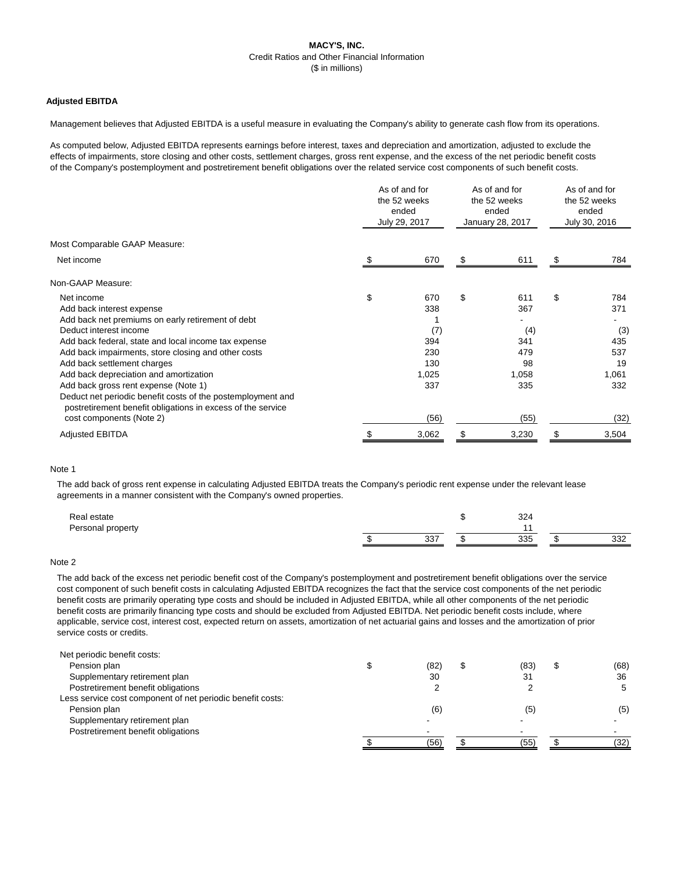# **Adjusted EBITDA**

Management believes that Adjusted EBITDA is a useful measure in evaluating the Company's ability to generate cash flow from its operations.

As computed below, Adjusted EBITDA represents earnings before interest, taxes and depreciation and amortization, adjusted to exclude the effects of impairments, store closing and other costs, settlement charges, gross rent expense, and the excess of the net periodic benefit costs of the Company's postemployment and postretirement benefit obligations over the related service cost components of such benefit costs.

|                                                                                                                            | As of and for<br>the 52 weeks<br>ended<br>July 29, 2017 |       | As of and for<br>the 52 weeks<br>ended<br>January 28, 2017 |       | As of and for<br>the 52 weeks<br>ended<br>July 30, 2016 |       |
|----------------------------------------------------------------------------------------------------------------------------|---------------------------------------------------------|-------|------------------------------------------------------------|-------|---------------------------------------------------------|-------|
| Most Comparable GAAP Measure:                                                                                              |                                                         |       |                                                            |       |                                                         |       |
| Net income                                                                                                                 |                                                         | 670   |                                                            | 611   |                                                         | 784   |
| Non-GAAP Measure:                                                                                                          |                                                         |       |                                                            |       |                                                         |       |
| Net income                                                                                                                 | \$                                                      | 670   | \$                                                         | 611   | \$                                                      | 784   |
| Add back interest expense                                                                                                  |                                                         | 338   |                                                            | 367   |                                                         | 371   |
| Add back net premiums on early retirement of debt                                                                          |                                                         |       |                                                            |       |                                                         |       |
| Deduct interest income                                                                                                     |                                                         | (7)   |                                                            | (4)   |                                                         | (3)   |
| Add back federal, state and local income tax expense                                                                       |                                                         | 394   |                                                            | 341   |                                                         | 435   |
| Add back impairments, store closing and other costs                                                                        |                                                         | 230   |                                                            | 479   |                                                         | 537   |
| Add back settlement charges                                                                                                |                                                         | 130   |                                                            | 98    |                                                         | 19    |
| Add back depreciation and amortization                                                                                     |                                                         | 1,025 |                                                            | 1,058 |                                                         | 1,061 |
| Add back gross rent expense (Note 1)                                                                                       |                                                         | 337   |                                                            | 335   |                                                         | 332   |
| Deduct net periodic benefit costs of the postemployment and<br>postretirement benefit obligations in excess of the service |                                                         |       |                                                            |       |                                                         |       |
| cost components (Note 2)                                                                                                   |                                                         | (56)  |                                                            | (55)  |                                                         | (32)  |
| <b>Adjusted EBITDA</b>                                                                                                     |                                                         | 3,062 |                                                            | 3,230 |                                                         | 3,504 |
|                                                                                                                            |                                                         |       |                                                            |       |                                                         |       |

#### Note 1

The add back of gross rent expense in calculating Adjusted EBITDA treats the Company's periodic rent expense under the relevant lease agreements in a manner consistent with the Company's owned properties.

| Real estate       |     | 324 |      |            |
|-------------------|-----|-----|------|------------|
| Personal property |     |     |      |            |
|                   | 337 | 335 | - 13 | ລລລ<br>ےب∪ |

#### Note 2

The add back of the excess net periodic benefit cost of the Company's postemployment and postretirement benefit obligations over the service cost component of such benefit costs in calculating Adjusted EBITDA recognizes the fact that the service cost components of the net periodic benefit costs are primarily operating type costs and should be included in Adjusted EBITDA, while all other components of the net periodic benefit costs are primarily financing type costs and should be excluded from Adjusted EBITDA. Net periodic benefit costs include, where applicable, service cost, interest cost, expected return on assets, amortization of net actuarial gains and losses and the amortization of prior service costs or credits.

| Net periodic benefit costs:                                |      |      |      |
|------------------------------------------------------------|------|------|------|
| Pension plan                                               | (82) | (83) | (68) |
| Supplementary retirement plan                              | 30   | 31   | 36   |
| Postretirement benefit obligations                         |      |      | 5    |
| Less service cost component of net periodic benefit costs: |      |      |      |
| Pension plan                                               | (6)  | (5)  | (5)  |
| Supplementary retirement plan                              |      |      |      |
| Postretirement benefit obligations                         |      |      |      |
|                                                            | (56) | (55) | (32) |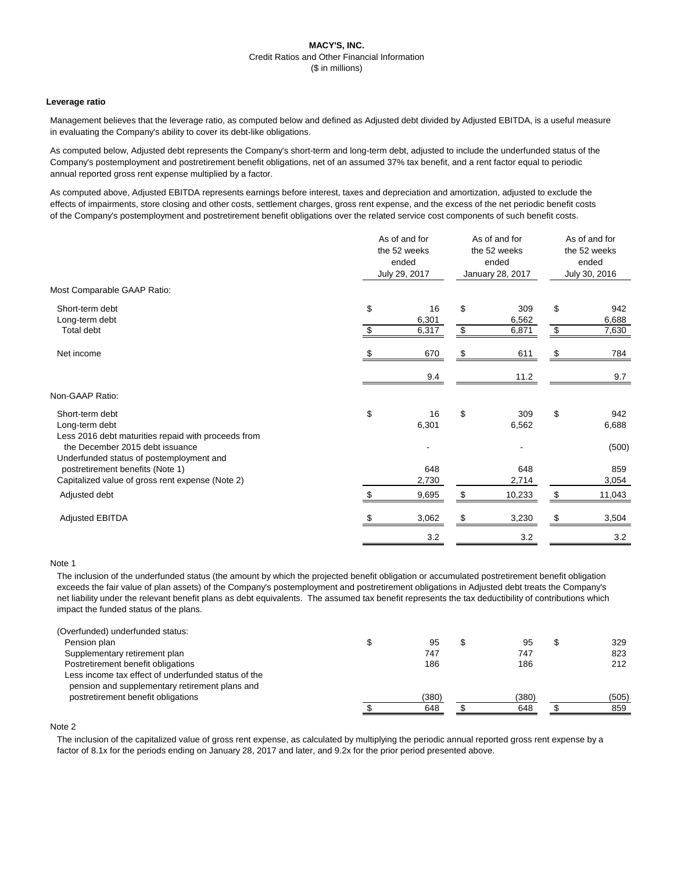#### **Leverage ratio**

Management believes that the leverage ratio, as computed below and defined as Adjusted debt divided by Adjusted EBITDA, is a useful measure in evaluating the Company's ability to cover its debt-like obligations.

As computed below, Adjusted debt represents the Company's short-term and long-term debt, adjusted to include the underfunded status of the Company's postemployment and postretirement benefit obligations, net of an assumed 37% tax benefit, and a rent factor equal to periodic annual reported gross rent expense multiplied by a factor.

As computed above, Adjusted EBITDA represents earnings before interest, taxes and depreciation and amortization, adjusted to exclude the effects of impairments, store closing and other costs, settlement charges, gross rent expense, and the excess of the net periodic benefit costs of the Company's postemployment and postretirement benefit obligations over the related service cost components of such benefit costs.

|                                                                                                                                                                     |                | As of and for<br>the 52 weeks<br>ended<br>July 29, 2017 |       | As of and for<br>the 52 weeks<br>ended<br>January 28, 2017 |    | As of and for<br>the 52 weeks<br>ended<br>July 30, 2016 |  |
|---------------------------------------------------------------------------------------------------------------------------------------------------------------------|----------------|---------------------------------------------------------|-------|------------------------------------------------------------|----|---------------------------------------------------------|--|
| Most Comparable GAAP Ratio:                                                                                                                                         |                |                                                         |       |                                                            |    |                                                         |  |
| Short-term debt<br>Long-term debt                                                                                                                                   | \$             | 16<br>6,301                                             | \$    | 309<br>6,562                                               | \$ | 942<br>6,688                                            |  |
| Total debt                                                                                                                                                          | $\mathfrak{L}$ | 6,317                                                   | $\$\$ | 6,871                                                      | \$ | 7,630                                                   |  |
| Net income                                                                                                                                                          | \$             | 670                                                     | \$    | 611                                                        | \$ | 784                                                     |  |
|                                                                                                                                                                     |                | 9.4                                                     |       | 11.2                                                       |    | 9.7                                                     |  |
| Non-GAAP Ratio:                                                                                                                                                     |                |                                                         |       |                                                            |    |                                                         |  |
| Short-term debt<br>Long-term debt<br>Less 2016 debt maturities repaid with proceeds from                                                                            | \$             | 16<br>6,301                                             | \$    | 309<br>6,562                                               | \$ | 942<br>6,688                                            |  |
| the December 2015 debt issuance<br>Underfunded status of postemployment and<br>postretirement benefits (Note 1)<br>Capitalized value of gross rent expense (Note 2) |                | 648<br>2,730                                            |       | 648<br>2,714                                               |    | (500)<br>859<br>3,054                                   |  |
| Adjusted debt                                                                                                                                                       |                | 9,695                                                   | \$    | 10,233                                                     | \$ | 11,043                                                  |  |
| <b>Adjusted EBITDA</b>                                                                                                                                              |                | 3,062                                                   | \$    | 3,230                                                      | \$ | 3,504                                                   |  |
|                                                                                                                                                                     |                | 3.2                                                     |       | 3.2                                                        |    | 3.2                                                     |  |
|                                                                                                                                                                     |                |                                                         |       |                                                            |    |                                                         |  |

#### Note 1

The inclusion of the underfunded status (the amount by which the projected benefit obligation or accumulated postretirement benefit obligation exceeds the fair value of plan assets) of the Company's postemployment and postretirement obligations in Adjusted debt treats the Company's net liability under the relevant benefit plans as debt equivalents. The assumed tax benefit represents the tax deductibility of contributions which impact the funded status of the plans.

| (Overfunded) underfunded status:                                                                      |       |       |       |
|-------------------------------------------------------------------------------------------------------|-------|-------|-------|
| Pension plan                                                                                          | 95    | 95    | 329   |
| Supplementary retirement plan                                                                         | 747   | 747   | 823   |
| Postretirement benefit obligations                                                                    | 186   | 186   | 212   |
| Less income tax effect of underfunded status of the<br>pension and supplementary retirement plans and |       |       |       |
| postretirement benefit obligations                                                                    | (380) | (380) | (505) |
|                                                                                                       | 648   | 648   | 859   |
|                                                                                                       |       |       |       |

# Note 2

The inclusion of the capitalized value of gross rent expense, as calculated by multiplying the periodic annual reported gross rent expense by a factor of 8.1x for the periods ending on January 28, 2017 and later, and 9.2x for the prior period presented above.